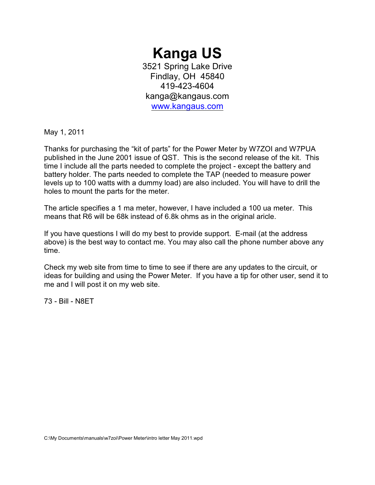### **Kanga US** 3521 Spring Lake Drive Findlay, OH 45840 419-423-4604 kanga@kangaus.com [www.kangaus.com](http://www.bright.net/~kanga/kanga/)

May 1, 2011

Thanks for purchasing the "kit of parts" for the Power Meter by W7ZOI and W7PUA published in the June 2001 issue of QST. This is the second release of the kit. This time I include all the parts needed to complete the project - except the battery and battery holder. The parts needed to complete the TAP (needed to measure power levels up to 100 watts with a dummy load) are also included. You will have to drill the holes to mount the parts for the meter.

The article specifies a 1 ma meter, however, I have included a 100 ua meter. This means that R6 will be 68k instead of 6.8k ohms as in the original aricle.

If you have questions I will do my best to provide support. E-mail (at the address above) is the best way to contact me. You may also call the phone number above any time.

Check my web site from time to time to see if there are any updates to the circuit, or ideas for building and using the Power Meter. If you have a tip for other user, send it to me and I will post it on my web site.

73 - Bill - N8ET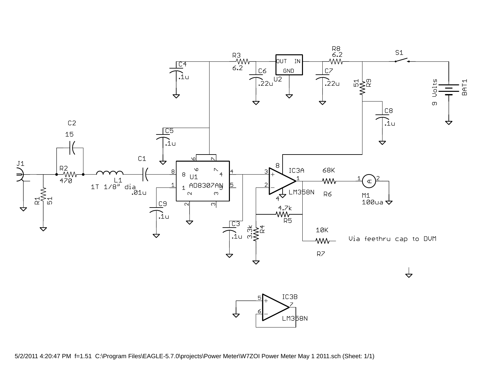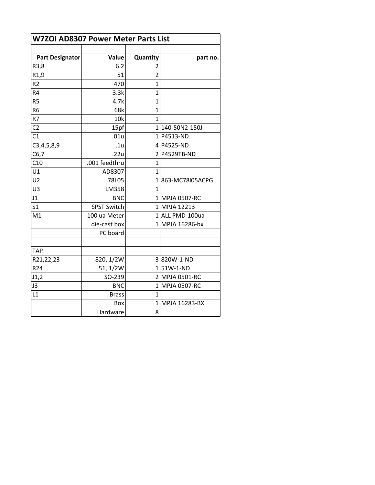| W7ZOI AD8307 Power Meter Parts List |                    |                |                  |
|-------------------------------------|--------------------|----------------|------------------|
|                                     |                    |                |                  |
| <b>Part Designator</b>              | Value              | Quantity       | part no.         |
| R3,8                                | 6.2                | 2              |                  |
| R1,9                                | 51                 | $\overline{2}$ |                  |
| R <sub>2</sub>                      | 470                | $\overline{1}$ |                  |
| R4                                  | 3.3k               | $\overline{1}$ |                  |
| R <sub>5</sub>                      | 4.7k               | $\overline{1}$ |                  |
| R <sub>6</sub>                      | 68k                | 1              |                  |
| R7                                  | 10k                | 1              |                  |
| C <sub>2</sub>                      | 15pf               |                | 1 140-50N2-150J  |
| C1                                  | .01u               |                | 1 P4513-ND       |
| C3, 4, 5, 8, 9                      | .1 <sub>u</sub>    |                | 4 P4525-ND       |
| C6,7                                | .22u               |                | 2 P4529TB-ND     |
| C10                                 | .001 feedthru      | $\mathbf{1}$   |                  |
| U1                                  | AD8307             | 1              |                  |
| U <sub>2</sub>                      | 78L05              |                | 1863-MC78l05ACPG |
| U3                                  | LM358              | 1              |                  |
| J1                                  | <b>BNC</b>         |                | 1 MPJA 0507-RC   |
| S <sub>1</sub>                      | <b>SPST Switch</b> |                | 1 MPJA 12213     |
| M1                                  | 100 ua Meter       |                | 1 ALL PMD-100ua  |
|                                     | die-cast box       |                | 1 MPJA 16286-bx  |
|                                     | PC board           |                |                  |
|                                     |                    |                |                  |
| <b>TAP</b>                          |                    |                |                  |
| R21,22,23                           | 820, 1/2W          |                | 3820W-1-ND       |
| R24                                 | 51, 1/2W           |                | $1 51W-1-ND$     |
| J1,2                                | SO-239             |                | 2 MPJA 0501-RC   |
| J3                                  | <b>BNC</b>         |                | 1 MPJA 0507-RC   |
| L1                                  | <b>Brass</b>       | 1              |                  |
|                                     | Box                | 1 <sup>1</sup> | MPJA 16283-BX    |
|                                     | Hardware           | 8              |                  |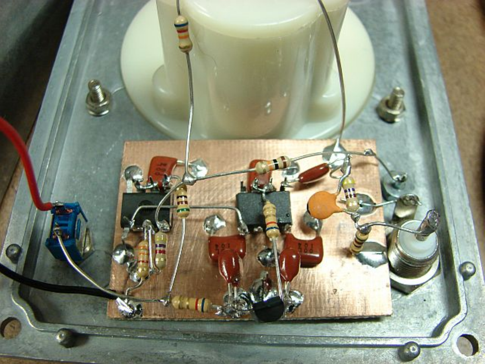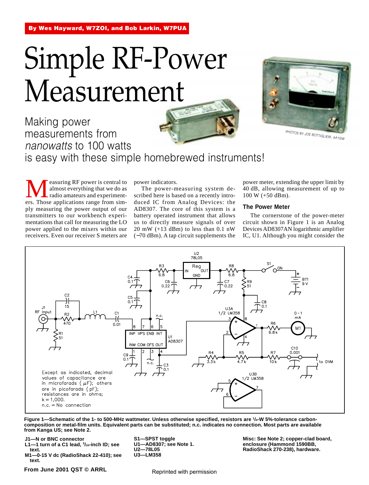# Simple RF-Power Measurement

## Making power measurements from nanowatts to 100 watts

is easy with these simple homebrewed instruments!

**MEASURE A** easuring RF power is central to almost everything that we do as radio amateurs and experiment-<br>ers. Those applications range from simalmost everything that we do as radio amateurs and experimentply measuring the power output of our transmitters to our workbench experimentations that call for measuring the LO power applied to the mixers within our receivers. Even our receiver S meters are

power indicators.

The power-measuring system described here is based on a recently introduced IC from Analog Devices: the AD8307. The core of this system is a battery operated instrument that allows us to directly measure signals of over 20 mW  $(+13$  dBm) to less than 0.1 nW (−70 dBm). A tap circuit supplements the power meter, extending the upper limit by 40 dB, allowing measurement of up to 100 W (+50 dBm).

PHOTOS BY JOE BOTTIGLIERI, AA1GW

#### **The Power Meter**

The cornerstone of the power-meter circuit shown in Figure 1 is an Analog Devices AD8307AN logarithmic amplifier IC, U1. Although you might consider the



**Figure 1—Schematic of the 1- to 500-MHz wattmeter. Unless otherwise specified, resistors are 1/4-W 5%-tolerance carboncomposition or metal-film units. Equivalent parts can be substituted; n.c. indicates no connection. Most parts are available from Kanga US; see Note 2.**

**J1—N or BNC connector**

- **L1—1 turn of a C1 lead, 3 /16-inch ID; see text.**
- **M1—0-15 V dc (RadioShack 22-410); see text.**

**S1—SPST toggle U1—AD8307; see Note 1. U2—78L05 U3—LM358**

**Misc: See Note 2; copper-clad board, enclosure (Hammond 1590BB, RadioShack 270-238), hardware.**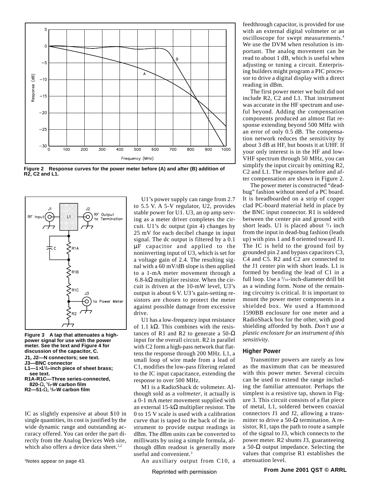

**Figure 2Response curves for the power meter before (A) and after (B) addition of R2, C2 and L1.**



Figure 3-A tap that attenuates a high**power signal for use with the power meter. See the text and Figure 4 for discussion of the capacitor, C.**

- **J1, J2—N connectors; see text.**
- **J3—BNC connector**
- **L1—1**×**11 /2-inch piece of sheet brass; see text.**
- **R1A-R1C—Three series-connected, 820-**Ω**, 1 /2-W carbon film**
- **R2—51-**Ω**, 1 /4-W carbon film**

IC as slightly expensive at about \$10 in single quantities, its cost is justified by the wide dynamic range and outstanding accuracy offered. You can order the part directly from the Analog Devices Web site, which also offers a device data sheet.<sup>1,2</sup>

1Notes appear on page 43.

U1's power supply can range from 2.7 to 5.5 V. A 5-V regulator, U2, provides stable power for U1. U3, an op amp serving as a meter driver completes the circuit. U1's dc output (pin 4) changes by 25 mV for each decibel change in input signal. The dc output is filtered by a 0.1 µF capacitor and applied to the noninverting input of U3, which is set for a voltage gain of 2.4. The resulting signal with a 60 mV/dB slope is then applied to a 1-mA meter movement through a 6.8-k $\Omega$  multiplier resistor. When the circuit is driven at the 10-mW level, U3's output is about 6 V. U3's gain-setting resistors are chosen to protect the meter against possible damage from excessive drive.

U1 has a low-frequency input resistance of 1.1 k $\Omega$ . This combines with the resistances of R1 and R2 to generate a 50- $\Omega$ input for the overall circuit. R2 in parallel with C2 form a high-pass network that flattens the response through 200 MHz. L1, a small loop of wire made from a lead of C1, modifies the low-pass filtering related to the IC input capacitance, extending the response to over 500 MHz.

M1 is a RadioShack dc voltmeter. Although sold as a *voltmeter*, it actually is a 0-1 mA meter movement supplied with an external 15-kΩ multiplier resistor. The 0 to 15 V scale is used with a calibration curve that is taped to the back of the instrument to provide output readings in dBm. The dBm units can be converted to milliwatts by using a simple formula, although dBm readout is generally more useful and convenient.<sup>3</sup>

An auxiliary output from C10, a

Reprinted with permission

feedthrough capacitor, is provided for use with an external digital voltmeter or an oscilloscope for swept measurements.4 We use the DVM when resolution is important. The analog movement can be read to about 1 dB, which is useful when adjusting or tuning a circuit. Enterprising builders might program a PIC processor to drive a digital display with a direct reading in dBm.

The first power meter we built did not include R2, C2 and L1. That instrument was accurate in the HF spectrum and useful beyond. Adding the compensation components produced an almost flat response extending beyond 500 MHz with an error of only 0.5 dB. The compensation network reduces the sensitivity by about 3 dB at HF, but boosts it at UHF. If your only interest is in the HF and low-VHF spectrum through 50 MHz, you can simplify the input circuit by omitting R2, C2 and L1. The responses before and after compensation are shown in Figure 2.

The power meter is constructed "deadbug" fashion without need of a PC board. It is breadboarded on a strip of copper clad PC-board material held in place by the BNC input connector. R1 is soldered between the center pin and ground with short leads. U1 is placed about  $\frac{3}{4}$  inch from the input in dead-bug fashion (leads up) with pins 1 and 8 oriented toward J1. The IC is held to the ground foil by grounded pin 2 and bypass capacitors C3, C4 and C5. R2 and C2 are connected to the J1 center pin with short leads. L1 is formed by bending the lead of C1 in a full loop. Use a  $\frac{3}{16}$ -inch-diameter drill bit as a winding form. None of the remaining circuitry is critical. It is important to mount the power meter components in a shielded box. We used a Hammond 1590BB enclosure for one meter and a RadioShack box for the other, with good shielding afforded by both. *Don't use a plastic enclosure for an instrument of this sensitivity*.

#### **Higher Power**

Transmitter powers are rarely as low as the maximum that can be measured with this power meter. Several circuits can be used to extend the range including the familiar attenuator. Perhaps the simplest is a resistive tap, shown in Figure 3. This circuit consists of a flat piece of metal, L1, soldered between coaxial connectors J1 and J2, allowing a transmitter to drive a 50- $\Omega$  termination. A resistor, R1, taps the path to route a sample of the signal to J3, which connects to the power meter. R2 shunts J3, guaranteeing a 50-Ω output impedance. Selecting the values that comprise R1 establishes the attenuation level.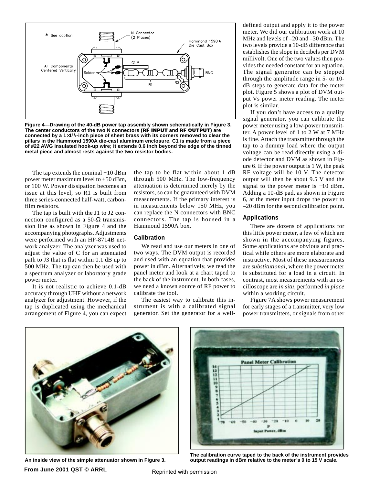

**Figure 4—Drawing of the 40-dB power tap assembly shown schematically in Figure 3. The center conductors of the two N connectors (**RF INPUT **and** RF OUTPUT**) are connected by a 1**×**11/2-inch piece of sheet brass with its corners removed to clear the pillars in the Hammond 1590A die-cast aluminum enclosure. C1 is made from a piece of #22 AWG insulated hook-up wire; it extends 0.6 inch beyond the edge of the tinned metal piece and almost rests against the two resistor bodies.**

The tap extends the nominal +10 dBm power meter maximum level to +50 dBm, or 100 W. Power dissipation becomes an issue at this level, so R1 is built from three series-connected half-watt, carbonfilm resistors.

The tap is built with the J1 to J2 connection configured as a 50- $Ω$  transmission line as shown in Figure 4 and the accompanying photographs. Adjustments were performed with an HP-8714B network analyzer. The analyzer was used to adjust the value of C for an attenuated path to J3 that is flat within 0.1 dB up to 500 MHz. The tap can then be used with a spectrum analyzer or laboratory grade power meter.

It is not realistic to achieve 0.1-dB accuracy through UHF without a network analyzer for adjustment. However, if the tap is duplicated using the mechanical arrangement of Figure 4, you can expect the tap to be flat within about 1 dB through 500 MHz. The low-frequency attenuation is determined merely by the resistors, so can be guaranteed with DVM measurements. If the primary interest is in measurements below 150 MHz, you can replace the N connectors with BNC connectors. The tap is housed in a Hammond 1590A box.

#### **Calibration**

We read and use our meters in one of two ways. The DVM output is recorded and used with an equation that provides power in dBm. Alternatively, we read the panel meter and look at a chart taped to the back of the instrument. In both cases, we need a known source of RF power to calibrate the tool.

The easiest way to calibrate this instrument is with a calibrated signal generator. Set the generator for a well-

defined output and apply it to the power meter. We did our calibration work at 10 MHz and levels of –20 and –30 dBm. The two levels provide a 10-dB difference that establishes the slope in decibels per DVM millivolt. One of the two values then provides the needed constant for an equation. The signal generator can be stepped through the amplitude range in 5- or 10 dB steps to generate data for the meter plot. Figure 5 shows a plot of DVM output Vs power meter reading. The meter plot is similar.

If you don't have access to a quality signal generator, you can calibrate the power meter using a low-power transmitter. A power level of 1 to 2 W at 7 MHz is fine. Attach the transmitter through the tap to a dummy load where the output voltage can be read directly using a diode detector and DVM as shown in Figure 6. If the power output is 1 W, the peak RF voltage will be 10 V. The detector output will then be about 9.5 V and the signal to the power meter is −10 dBm. Adding a 10-dB pad, as shown in Figure 6, at the meter input drops the power to –20 dBm for the second calibration point.

#### **Applications**

There are dozens of applications for this little power meter, a few of which are shown in the accompanying figures. Some applications are obvious and practical while others are more elaborate and instructive. Most of these measurements are *substitutional*, where the power meter is substituted for a load in a circuit. In contrast, most measurements with an oscilloscope are *in situ*, performed *in place* within a working circuit.

Figure 7A shows power measurement for early stages of a transmitter, very low power transmitters, or signals from other



**From June 2001 QST © ARRL An inside view of the simple attenuator shown in Figure 3.**



**The calibration curve taped to the back of the instrument provides output readings in dBm relative to the meter's 0 to 15 V scale.**

Reprinted with permission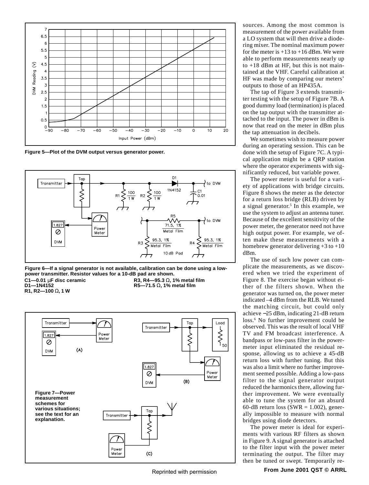

**Figure 5—Plot of the DVM output versus generator power.**



**Figure 6—If a signal generator is not available, calibration can be done using a lowpower transmitter. Resistor values for a 10-dB pad are shown. C1—0.01** µ**F disc ceramic R3, R4—95.3** Ω**, 1% metal film**

**D1—1N4152 R1, R2—100** Ω**, 1 W** **R5—71.5** Ω**, 1% metal film**



sources. Among the most common is measurement of the power available from a LO system that will then drive a diodering mixer. The nominal maximum power for the meter is  $+13$  to  $+16$  dBm. We were able to perform measurements nearly up to +18 dBm at HF, but this is not maintained at the VHF. Careful calibration at HF was made by comparing our meters' outputs to those of an HP435A.

The tap of Figure 3 extends transmitter testing with the setup of Figure 7B. A good dummy load (termination) is placed on the tap output with the transmitter attached to the input. The power in dBm is now that read on the meter in dBm plus the tap attenuation in decibels.

We sometimes wish to measure power during an operating session. This can be done with the setup of Figure 7C. A typical application might be a QRP station where the operator experiments with significantly reduced, but variable power.

The power meter is useful for a variety of applications with bridge circuits. Figure 8 shows the meter as the detector for a return loss bridge (RLB) driven by a signal generator.<sup>5</sup> In this example, we use the system to adjust an antenna tuner. Because of the excellent sensitivity of the power meter, the generator need not have high output power. For example, we often make these measurements with a homebrew generator delivering  $+3$  to  $+10$ dBm.

The use of such low power can complicate the measurements, as we discovered when we tried the experiment of Figure 8. The exercise began without either of the filters shown. When the generator was turned on, the power meter indicated –4 dBm from the RLB. We tuned the matching circuit, but could only achieve −25 dBm, indicating 21-dB return loss.<sup>6</sup> No further improvement could be observed. This was the result of local VHF TV and FM broadcast interference. A bandpass or low-pass filter in the powermeter input eliminated the residual response, allowing us to achieve a 45-dB return loss with further tuning. But this was also a limit where no further improvement seemed possible. Adding a low-pass filter to the signal generator output reduced the harmonics there, allowing further improvement. We were eventually able to tune the system for an absurd 60-dB return loss (SWR =  $1.002$ ), generally impossible to measure with normal bridges using diode detectors.

The power meter is ideal for experiments with various RF filters as shown in Figure 9. A signal generator is attached to the filter input with the power meter terminating the output. The filter may then be tuned or swept. Temporarily re-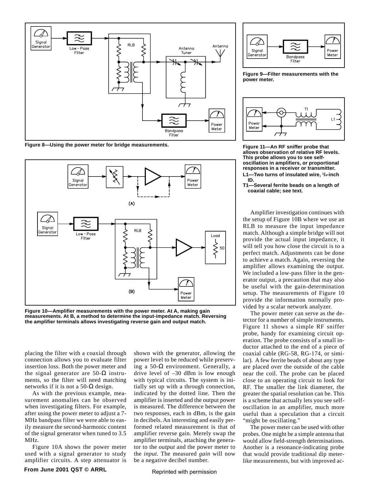

**Figure 8—Using the power meter for bridge measurements.**



**Figure 10—Amplifier measurements with the power meter. At A, making gain measurements. At B, a method to determine the input-impedance match. Reversing the amplifier terminals allows investigating reverse gain and output match.**

placing the filter with a coaxial through connection allows you to evaluate filter insertion loss. Both the power meter and the signal generator are  $50$ -Ω instruments, so the filter will need matching networks if it is not a 50-Ω design.

As with the previous example, measurement anomalies can be observed when investigating filters. For example, after using the power meter to adjust a 7- MHz bandpass filter we were able to easily measure the second-harmonic content of the signal generator when tuned to 3.5 MHz.

Figure 10A shows the power meter used with a signal generator to study amplifier circuits. A step attenuator is

shown with the generator, allowing the power level to be reduced while preserving a 50- $Ω$  environment. Generally, a drive level of –30 dBm is low enough with typical circuits. The system is initially set up with a through connection, indicated by the dotted line. Then the amplifier is inserted and the output power is measured. The difference between the two responses, each in dBm, is the gain in decibels. An interesting and easily performed related measurement is that of amplifier reverse gain. Merely swap the amplifier terminals, attaching the generator to the *output* and the power meter to the *input*. The measured *gain* will now be a negative decibel number.



**Figure 9—Filter measurements with the power meter.**



**Figure 11—An RF sniffer probe that allows observation of relative RF levels. This probe allows you to see selfoscillation in amplifiers, or proportional responses in a receiver or transmitter. L1—Two turns of insulated wire, 1/4-inch**

**ID.**

**T1—Several ferrite beads on a length of coaxial cable; see text.**

Amplifier investigation continues with the setup of Figure 10B where we use an RLB to measure the input impedance match. Although a simple bridge will not provide the actual input impedance, it will tell you how close the circuit is to a perfect match. Adjustments can be done to achieve a match. Again, reversing the amplifier allows examining the output. We included a low-pass filter in the generator output, a precaution that may also be useful with the gain-determination setup. The measurements of Figure 10 provide the information normally provided by a scalar network analyzer.

The power meter can serve as the detector for a number of simple instruments. Figure 11 shows a simple RF sniffer probe, handy for examining circuit operation. The probe consists of a small inductor attached to the end of a piece of coaxial cable (RG-58, RG-174, or similar). A few ferrite beads of about any type are placed over the outside of the cable near the coil. The probe can be placed close to an operating circuit to look for RF. The smaller the link diameter, the greater the spatial resolution can be. This is a scheme that actually lets you see selfoscillation in an amplifier, much more useful than a speculation that a circuit "might be oscillating."

The power meter can be used with other probes. One might be a simple antenna that would allow field-strength determinations. Another is a resonance-indicating probe that would provide traditional dip meterlike measurements, but with improved ac-